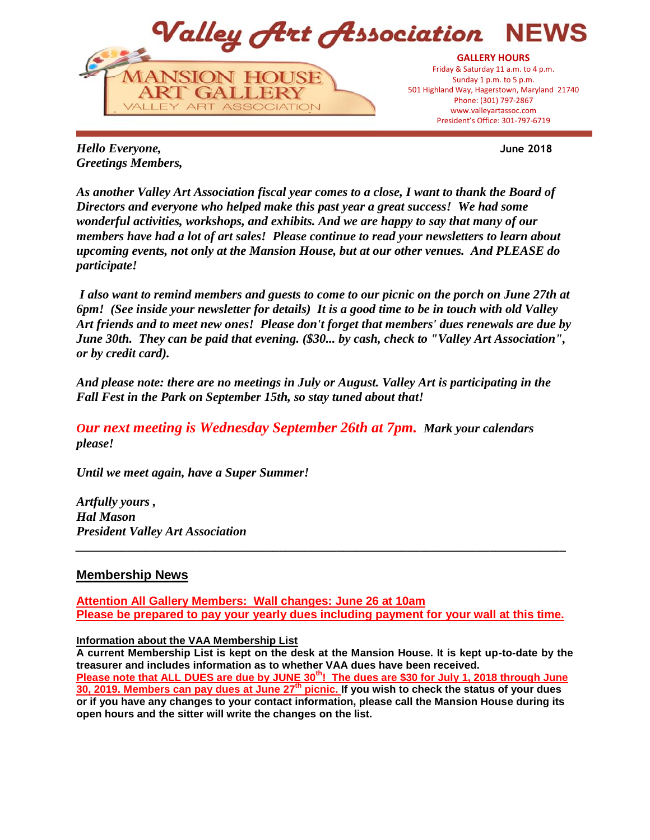

**June 2018**

*Hello Everyone, Greetings Members,*

*As another Valley Art Association fiscal year comes to a close, I want to thank the Board of Directors and everyone who helped make this past year a great success! We had some wonderful activities, workshops, and exhibits. And we are happy to say that many of our members have had a lot of art sales! Please continue to read your newsletters to learn about upcoming events, not only at the Mansion House, but at our other venues. And PLEASE do participate!* 

*I also want to remind members and guests to come to our picnic on the porch on June 27th at 6pm! (See inside your newsletter for details) It is a good time to be in touch with old Valley Art friends and to meet new ones! Please don't forget that members' dues renewals are due by June 30th. They can be paid that evening. (\$30... by cash, check to "Valley Art Association", or by credit card).* 

*And please note: there are no meetings in July or August. Valley Art is participating in the Fall Fest in the Park on September 15th, so stay tuned about that!* 

*Our next meeting is Wednesday September 26th at 7pm. Mark your calendars please!*

*Until we meet again, have a Super Summer!*

*Artfully yours , Hal Mason President Valley Art Association* 

## **Membership News**

**Attention All Gallery Members: Wall changes: June 26 at 10am Please be prepared to pay your yearly dues including payment for your wall at this time.**

*\_\_\_\_\_\_\_\_\_\_\_\_\_\_\_\_\_\_\_\_\_\_\_\_\_\_\_\_\_\_\_\_\_\_\_\_\_\_\_\_\_\_\_\_\_\_\_\_\_\_\_\_\_\_\_\_\_\_\_\_\_\_\_\_\_\_\_\_\_\_\_\_\_\_\_\_\_*

## **Information about the VAA Membership List**

**A current Membership List is kept on the desk at the Mansion House. It is kept up-to-date by the treasurer and includes information as to whether VAA dues have been received. Please note that ALL DUES are due by JUNE 30th! The dues are \$30 for July 1, 2018 through June 30, 2019. Members can pay dues at June 27th picnic. If you wish to check the status of your dues or if you have any changes to your contact information, please call the Mansion House during its open hours and the sitter will write the changes on the list.**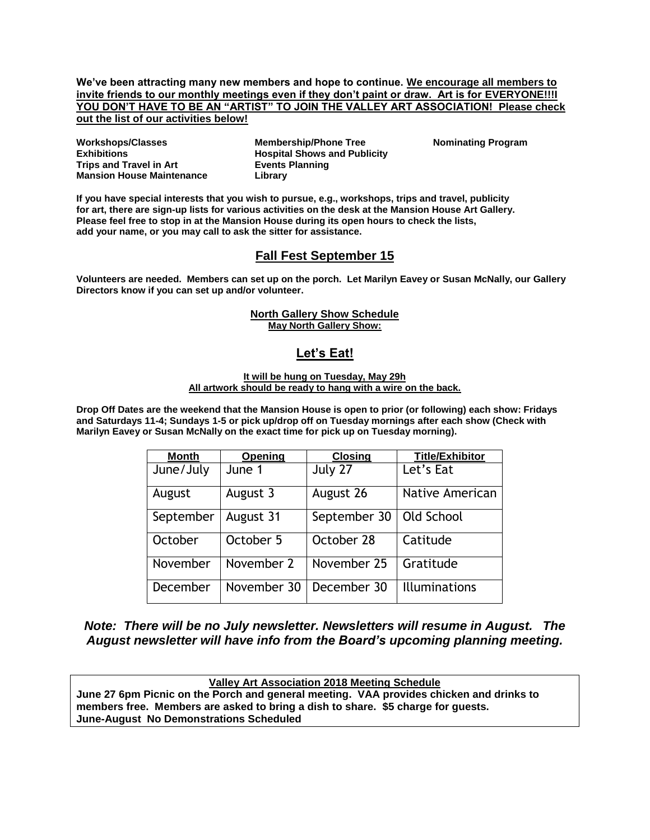**We've been attracting many new members and hope to continue. We encourage all members to invite friends to our monthly meetings even if they don't paint or draw. Art is for EVERYONE!!!I YOU DON'T HAVE TO BE AN "ARTIST" TO JOIN THE VALLEY ART ASSOCIATION! Please check out the list of our activities below!**

**Workshops/Classes Exhibitions Trips and Travel in Art Mansion House Maintenance** **Membership/Phone Tree Hospital Shows and Publicity Events Planning Library**

**Nominating Program**

**If you have special interests that you wish to pursue, e.g., workshops, trips and travel, publicity for art, there are sign-up lists for various activities on the desk at the Mansion House Art Gallery. Please feel free to stop in at the Mansion House during its open hours to check the lists, add your name, or you may call to ask the sitter for assistance.**

# **Fall Fest September 15**

**Volunteers are needed. Members can set up on the porch. Let Marilyn Eavey or Susan McNally, our Gallery Directors know if you can set up and/or volunteer.**

#### **North Gallery Show Schedule May North Gallery Show:**

## **Let's Eat!**

#### **It will be hung on Tuesday, May 29h All artwork should be ready to hang with a wire on the back.**

**Drop Off Dates are the weekend that the Mansion House is open to prior (or following) each show: Fridays and Saturdays 11-4; Sundays 1-5 or pick up/drop off on Tuesday mornings after each show (Check with Marilyn Eavey or Susan McNally on the exact time for pick up on Tuesday morning).**

| Month     | Opening     | <b>Closing</b> | <b>Title/Exhibitor</b> |
|-----------|-------------|----------------|------------------------|
| June/July | June 1      | July 27        | Let's Eat              |
| August    | August 3    | August 26      | Native American        |
| September | August 31   | September 30   | Old School             |
| October   | October 5   | October 28     | Catitude               |
| November  | November 2  | November 25    | Gratitude              |
| December  | November 30 | December 30    | <b>Illuminations</b>   |

*Note: There will be no July newsletter. Newsletters will resume in August. The August newsletter will have info from the Board's upcoming planning meeting.* 

**Valley Art Association 2018 Meeting Schedule June 27 6pm Picnic on the Porch and general meeting. VAA provides chicken and drinks to members free. Members are asked to bring a dish to share. \$5 charge for guests.**

**June-August No Demonstrations Scheduled**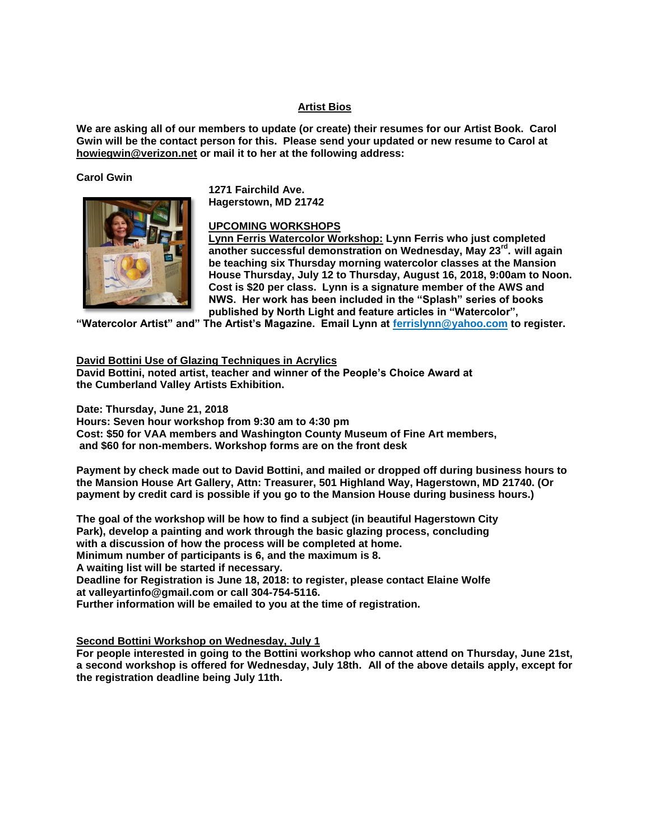#### **Artist Bios**

**We are asking all of our members to update (or create) their resumes for our Artist Book. Carol Gwin will be the contact person for this. Please send your updated or new resume to Carol at howiegwin@verizon.net or mail it to her at the following address:**

#### **Carol Gwin**



**1271 Fairchild Ave. Hagerstown, MD 21742**

## **UPCOMING WORKSHOPS**

**Lynn Ferris Watercolor Workshop: Lynn Ferris who just completed another successful demonstration on Wednesday, May 23rd . will again be teaching six Thursday morning watercolor classes at the Mansion House Thursday, July 12 to Thursday, August 16, 2018, 9:00am to Noon. Cost is \$20 per class. Lynn is a signature member of the AWS and NWS. Her work has been included in the "Splash" series of books published by North Light and feature articles in "Watercolor",** 

**"Watercolor Artist" and" The Artist's Magazine. Email Lynn at ferrislynn@yahoo.com to register.**

#### **David Bottini Use of Glazing Techniques in Acrylics**

**David Bottini, noted artist, teacher and winner of the People's Choice Award at the Cumberland Valley Artists Exhibition.** 

**Date: Thursday, June 21, 2018**

**Hours: Seven hour workshop from 9:30 am to 4:30 pm**

**Cost: \$50 for VAA members and Washington County Museum of Fine Art members,**

**and \$60 for non-members. Workshop forms are on the front desk**

**Payment by check made out to David Bottini, and mailed or dropped off during business hours to the Mansion House Art Gallery, Attn: Treasurer, 501 Highland Way, Hagerstown, MD 21740. (Or payment by credit card is possible if you go to the Mansion House during business hours.)**

**The goal of the workshop will be how to find a subject (in beautiful Hagerstown City Park), develop a painting and work through the basic glazing process, concluding with a discussion of how the process will be completed at home. Minimum number of participants is 6, and the maximum is 8. A waiting list will be started if necessary. Deadline for Registration is June 18, 2018: to register, please contact Elaine Wolfe at valleyartinfo@gmail.com or call 304-754-5116.**

**Further information will be emailed to you at the time of registration.**

## **Second Bottini Workshop on Wednesday, July 1**

**For people interested in going to the Bottini workshop who cannot attend on Thursday, June 21st, a second workshop is offered for Wednesday, July 18th. All of the above details apply, except for the registration deadline being July 11th.**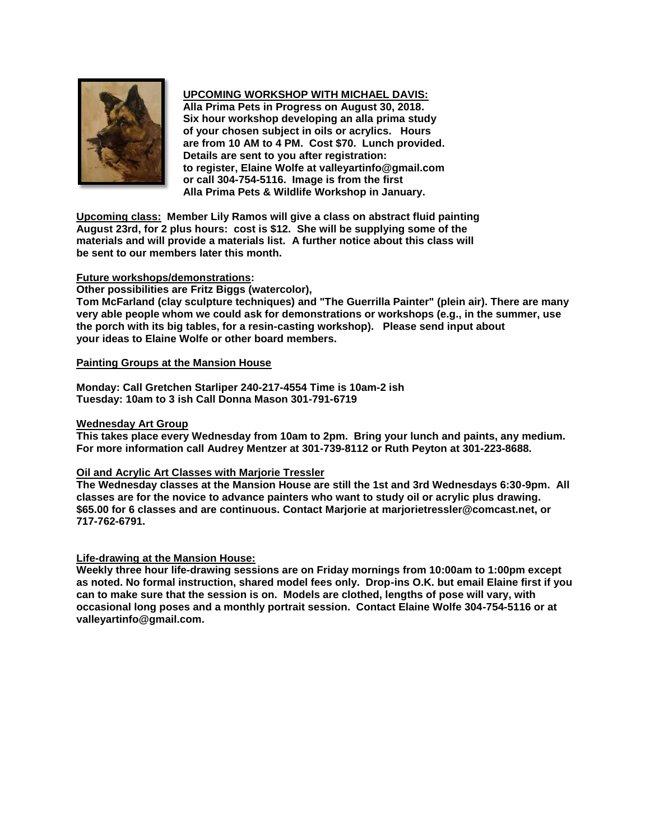

## **UPCOMING WORKSHOP WITH MICHAEL DAVIS:**

**Alla Prima Pets in Progress on August 30, 2018. Six hour workshop developing an alla prima study of your chosen subject in oils or acrylics. Hours are from 10 AM to 4 PM. Cost \$70. Lunch provided. Details are sent to you after registration: to register, Elaine Wolfe at valleyartinfo@gmail.com or call 304-754-5116. Image is from the first Alla Prima Pets & Wildlife Workshop in January.**

**Upcoming class: Member Lily Ramos will give a class on abstract fluid painting August 23rd, for 2 plus hours: cost is \$12. She will be supplying some of the materials and will provide a materials list. A further notice about this class will be sent to our members later this month.**

## **Future workshops/demonstrations:**

**Other possibilities are Fritz Biggs (watercolor),** 

**Tom McFarland (clay sculpture techniques) and "The Guerrilla Painter" (plein air). There are many very able people whom we could ask for demonstrations or workshops (e.g., in the summer, use the porch with its big tables, for a resin-casting workshop). Please send input about your ideas to Elaine Wolfe or other board members.**

## **Painting Groups at the Mansion House**

**Monday: Call Gretchen Starliper 240-217-4554 Time is 10am-2 ish Tuesday: 10am to 3 ish Call Donna Mason 301-791-6719**

## **Wednesday Art Group**

**This takes place every Wednesday from 10am to 2pm. Bring your lunch and paints, any medium. For more information call Audrey Mentzer at 301-739-8112 or Ruth Peyton at 301-223-8688.**

## **Oil and Acrylic Art Classes with Marjorie Tressler**

**The Wednesday classes at the Mansion House are still the 1st and 3rd Wednesdays 6:30-9pm. All classes are for the novice to advance painters who want to study oil or acrylic plus drawing. \$65.00 for 6 classes and are continuous. Contact Marjorie at marjorietressler@comcast.net, or 717-762-6791.**

## **Life-drawing at the Mansion House:**

**Weekly three hour life-drawing sessions are on Friday mornings from 10:00am to 1:00pm except as noted. No formal instruction, shared model fees only. Drop-ins O.K. but email Elaine first if you can to make sure that the session is on. Models are clothed, lengths of pose will vary, with occasional long poses and a monthly portrait session. Contact Elaine Wolfe 304-754-5116 or at valleyartinfo@gmail.com.**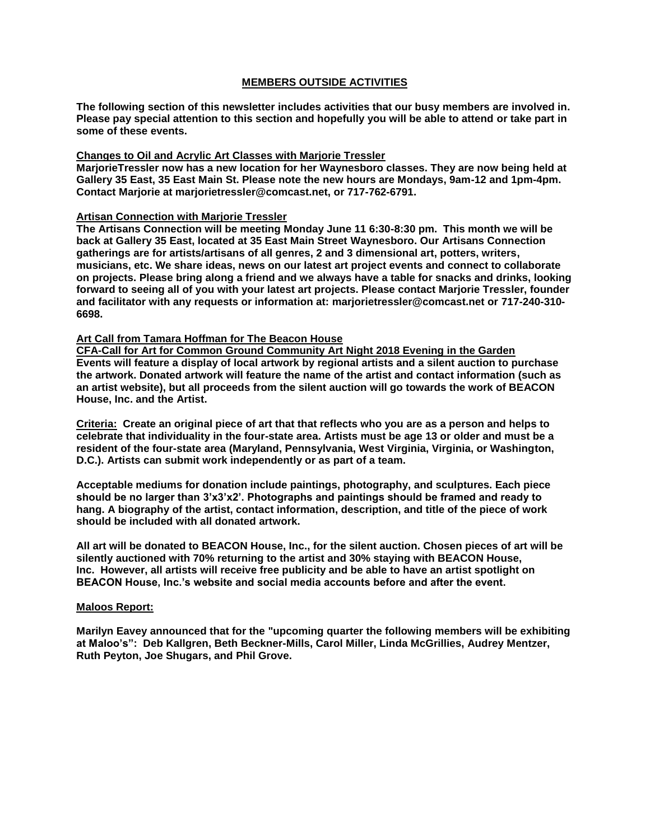## **MEMBERS OUTSIDE ACTIVITIES**

**The following section of this newsletter includes activities that our busy members are involved in. Please pay special attention to this section and hopefully you will be able to attend or take part in some of these events.**

## **Changes to Oil and Acrylic Art Classes with Marjorie Tressler**

**MarjorieTressler now has a new location for her Waynesboro classes. They are now being held at Gallery 35 East, 35 East Main St. Please note the new hours are Mondays, 9am-12 and 1pm-4pm. Contact Marjorie at marjorietressler@comcast.net, or 717-762-6791.**

#### **Artisan Connection with Marjorie Tressler**

**The Artisans Connection will be meeting Monday June 11 6:30-8:30 pm. This month we will be back at Gallery 35 East, located at 35 East Main Street Waynesboro. Our Artisans Connection gatherings are for artists/artisans of all genres, 2 and 3 dimensional art, potters, writers, musicians, etc. We share ideas, news on our latest art project events and connect to collaborate on projects. Please bring along a friend and we always have a table for snacks and drinks, looking forward to seeing all of you with your latest art projects. Please contact Marjorie Tressler, founder and facilitator with any requests or information at: marjorietressler@comcast.net or 717-240-310- 6698.**

## **Art Call from Tamara Hoffman for The Beacon House**

**CFA-Call for Art for Common Ground Community Art Night 2018 Evening in the Garden Events will feature a display of local artwork by regional artists and a silent auction to purchase the artwork. Donated artwork will feature the name of the artist and contact information (such as an artist website), but all proceeds from the silent auction will go towards the work of BEACON House, Inc. and the Artist.** 

**Criteria: Create an original piece of art that that reflects who you are as a person and helps to celebrate that individuality in the four-state area. Artists must be age 13 or older and must be a resident of the four-state area (Maryland, Pennsylvania, West Virginia, Virginia, or Washington, D.C.). Artists can submit work independently or as part of a team.**

**Acceptable mediums for donation include paintings, photography, and sculptures. Each piece should be no larger than 3'x3'x2'. Photographs and paintings should be framed and ready to hang. A biography of the artist, contact information, description, and title of the piece of work should be included with all donated artwork.**

**All art will be donated to BEACON House, Inc., for the silent auction. Chosen pieces of art will be silently auctioned with 70% returning to the artist and 30% staying with BEACON House, Inc. However, all artists will receive free publicity and be able to have an artist spotlight on BEACON House, Inc.'s website and social media accounts before and after the event.**

## **Maloos Report:**

**Marilyn Eavey announced that for the "upcoming quarter the following members will be exhibiting at Maloo's": Deb Kallgren, Beth Beckner-Mills, Carol Miller, Linda McGrillies, Audrey Mentzer, Ruth Peyton, Joe Shugars, and Phil Grove.**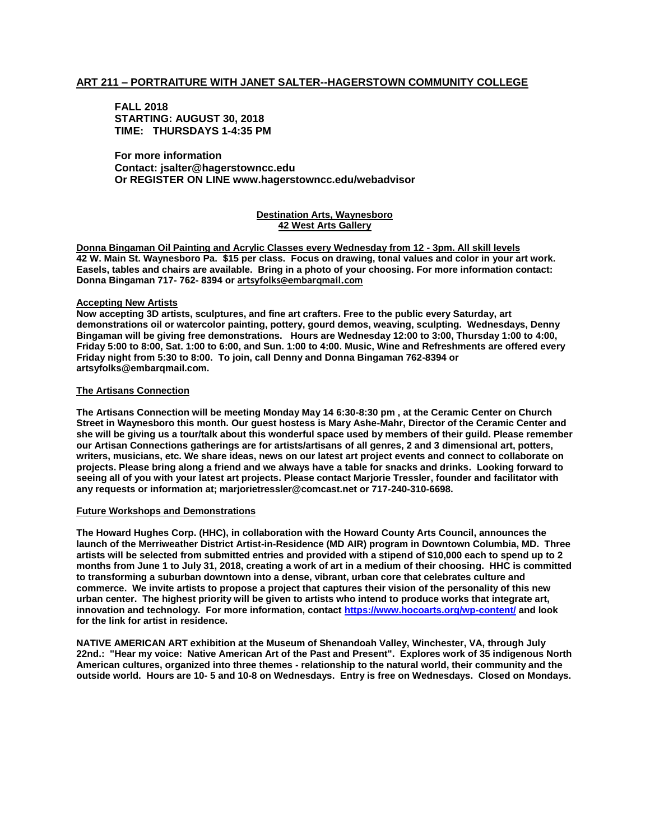#### **ART 211 – PORTRAITURE WITH JANET SALTER--HAGERSTOWN COMMUNITY COLLEGE**

#### **FALL 2018 STARTING: AUGUST 30, 2018 TIME: THURSDAYS 1-4:35 PM**

**For more information Contact: jsalter@hagerstowncc.edu Or REGISTER ON LINE www.hagerstowncc.edu/webadvisor**

#### **Destination Arts, Waynesboro 42 West Arts Gallery**

**Donna Bingaman Oil Painting and Acrylic Classes every Wednesday from 12 - 3pm. All skill levels 42 W. Main St. Waynesboro Pa. \$15 per class. Focus on drawing, tonal values and color in your art work. Easels, tables and chairs are available. Bring in a photo of your choosing. For more information contact: Donna Bingaman 717- 762- 8394 or artsyfolks@embarqmail.com**

#### **Accepting New Artists**

**Now accepting 3D artists, sculptures, and fine art crafters. Free to the public every Saturday, art demonstrations oil or watercolor painting, pottery, gourd demos, weaving, sculpting. Wednesdays, Denny Bingaman will be giving free demonstrations. Hours are Wednesday 12:00 to 3:00, Thursday 1:00 to 4:00, Friday 5:00 to 8:00, Sat. 1:00 to 6:00, and Sun. 1:00 to 4:00. Music, Wine and Refreshments are offered every Friday night from 5:30 to 8:00. To join, call Denny and Donna Bingaman 762-8394 or artsyfolks@embarqmail.com.** 

#### **The Artisans Connection**

**The Artisans Connection will be meeting Monday May 14 6:30-8:30 pm , at the Ceramic Center on Church Street in Waynesboro this month. Our guest hostess is Mary Ashe-Mahr, Director of the Ceramic Center and she will be giving us a tour/talk about this wonderful space used by members of their guild. Please remember our Artisan Connections gatherings are for artists/artisans of all genres, 2 and 3 dimensional art, potters, writers, musicians, etc. We share ideas, news on our latest art project events and connect to collaborate on projects. Please bring along a friend and we always have a table for snacks and drinks. Looking forward to seeing all of you with your latest art projects. Please contact Marjorie Tressler, founder and facilitator with any requests or information at; marjorietressler@comcast.net or 717-240-310-6698.**

#### **Future Workshops and Demonstrations**

**The Howard Hughes Corp. (HHC), in collaboration with the Howard County Arts Council, announces the launch of the Merriweather District Artist-in-Residence (MD AIR) program in Downtown Columbia, MD. Three artists will be selected from submitted entries and provided with a stipend of \$10,000 each to spend up to 2 months from June 1 to July 31, 2018, creating a work of art in a medium of their choosing. HHC is committed to transforming a suburban downtown into a dense, vibrant, urban core that celebrates culture and commerce. We invite artists to propose a project that captures their vision of the personality of this new urban center. The highest priority will be given to artists who intend to produce works that integrate art, innovation and technology. For more information, contact<https://www.hocoarts.org/wp-content/> and look for the link for artist in residence.**

**NATIVE AMERICAN ART exhibition at the Museum of Shenandoah Valley, Winchester, VA, through July 22nd.: "Hear my voice: Native American Art of the Past and Present". Explores work of 35 indigenous North American cultures, organized into three themes - relationship to the natural world, their community and the outside world. Hours are 10- 5 and 10-8 on Wednesdays. Entry is free on Wednesdays. Closed on Mondays.**